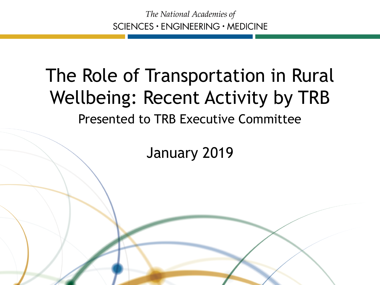#### The Role of Transportation in Rural Wellbeing: Recent Activity by TRB Presented to TRB Executive Committee

January 2019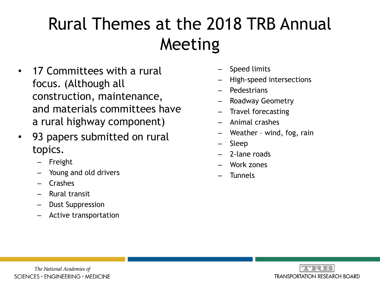#### Rural Themes at the 2018 TRB Annual Meeting

- 17 Committees with a rural focus. (Although all construction, maintenance, and materials committees have a rural highway component)
- 93 papers submitted on rural topics.
	- **Freight**
	- Young and old drivers
	- Crashes
	- Rural transit
	- Dust Suppression
	- Active transportation
- Speed limits
- High-speed intersections
- Pedestrians
- Roadway Geometry
- Travel forecasting
- Animal crashes
- Weather wind, fog, rain
- Sleep
- 2-lane roads
- Work zones
- **Tunnels**

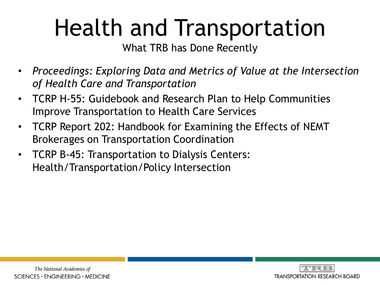# Health and Transportation

What TRB has Done Recently

- *Proceedings: Exploring Data and Metrics of Value at the Intersection of Health Care and Transportation*
- TCRP H-55: Guidebook and Research Plan to Help Communities Improve Transportation to Health Care Services
- TCRP Report 202: Handbook for Examining the Effects of NEMT Brokerages on Transportation Coordination
- TCRP B-45: Transportation to Dialysis Centers: Health/Transportation/Policy Intersection

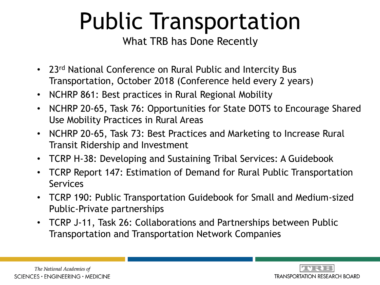### Public Transportation

What TRB has Done Recently

- 23<sup>rd</sup> National Conference on Rural Public and Intercity Bus Transportation, October 2018 (Conference held every 2 years)
- NCHRP 861: Best practices in Rural Regional Mobility
- NCHRP 20-65, Task 76: Opportunities for State DOTS to Encourage Shared Use Mobility Practices in Rural Areas
- NCHRP 20-65, Task 73: Best Practices and Marketing to Increase Rural Transit Ridership and Investment
- TCRP H-38: Developing and Sustaining Tribal Services: A Guidebook
- TCRP Report 147: Estimation of Demand for Rural Public Transportation Services
- TCRP 190: Public Transportation Guidebook for Small and Medium-sized Public-Private partnerships
- TCRP J-11, Task 26: Collaborations and Partnerships between Public Transportation and Transportation Network Companies

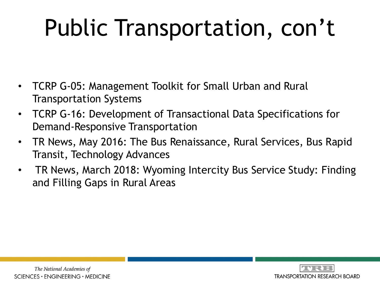# Public Transportation, con't

- TCRP G-05: Management Toolkit for Small Urban and Rural Transportation Systems
- TCRP G-16: Development of Transactional Data Specifications for Demand-Responsive Transportation
- TR News, May 2016: The Bus Renaissance, Rural Services, Bus Rapid Transit, Technology Advances
- TR News, March 2018: Wyoming Intercity Bus Service Study: Finding and Filling Gaps in Rural Areas

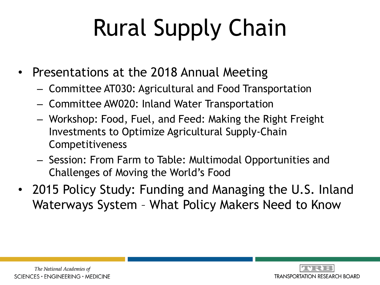# Rural Supply Chain

- Presentations at the 2018 Annual Meeting
	- Committee AT030: Agricultural and Food Transportation
	- Committee AW020: Inland Water Transportation
	- Workshop: Food, Fuel, and Feed: Making the Right Freight Investments to Optimize Agricultural Supply-Chain Competitiveness
	- Session: From Farm to Table: Multimodal Opportunities and Challenges of Moving the World's Food
- 2015 Policy Study: Funding and Managing the U.S. Inland Waterways System – What Policy Makers Need to Know

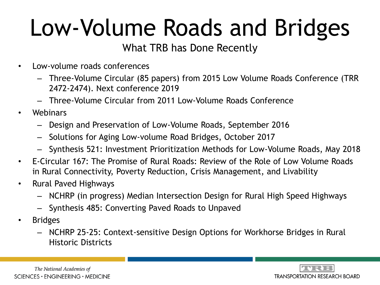# Low-Volume Roads and Bridges

#### What TRB has Done Recently

- Low-volume roads conferences
	- Three-Volume Circular (85 papers) from 2015 Low Volume Roads Conference (TRR 2472-2474). Next conference 2019
	- Three-Volume Circular from 2011 Low-Volume Roads Conference
- Webinars
	- Design and Preservation of Low-Volume Roads, September 2016
	- Solutions for Aging Low-volume Road Bridges, October 2017
	- Synthesis 521: Investment Prioritization Methods for Low-Volume Roads, May 2018
- E-Circular 167: The Promise of Rural Roads: Review of the Role of Low Volume Roads in Rural Connectivity, Poverty Reduction, Crisis Management, and Livability
- Rural Paved Highways
	- NCHRP (in progress) Median Intersection Design for Rural High Speed Highways
	- Synthesis 485: Converting Paved Roads to Unpaved
- Bridges
	- NCHRP 25-25: Context-sensitive Design Options for Workhorse Bridges in Rural Historic Districts

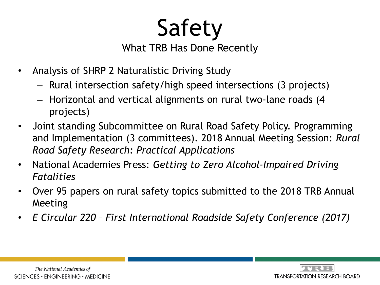Safety

What TRB Has Done Recently

- Analysis of SHRP 2 Naturalistic Driving Study
	- Rural intersection safety/high speed intersections (3 projects)
	- Horizontal and vertical alignments on rural two-lane roads (4 projects)
- Joint standing Subcommittee on Rural Road Safety Policy. Programming and Implementation (3 committees). 2018 Annual Meeting Session: *Rural Road Safety Research: Practical Applications*
- National Academies Press: *Getting to Zero Alcohol-Impaired Driving Fatalities*
- Over 95 papers on rural safety topics submitted to the 2018 TRB Annual Meeting
- *E Circular 220 – First International Roadside Safety Conference (2017)*

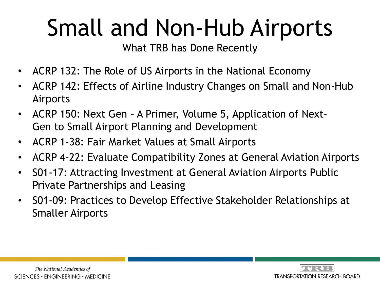## Small and Non-Hub Airports

What TRB has Done Recently

- ACRP 132: The Role of US Airports in the National Economy
- ACRP 142: Effects of Airline Industry Changes on Small and Non-Hub Airports
- ACRP 150: Next Gen A Primer, Volume 5, Application of Next-Gen to Small Airport Planning and Development
- ACRP 1-38: Fair Market Values at Small Airports
- ACRP 4-22: Evaluate Compatibility Zones at General Aviation Airports
- S01-17: Attracting Investment at General Aviation Airports Public Private Partnerships and Leasing
- S01-09: Practices to Develop Effective Stakeholder Relationships at Smaller Airports

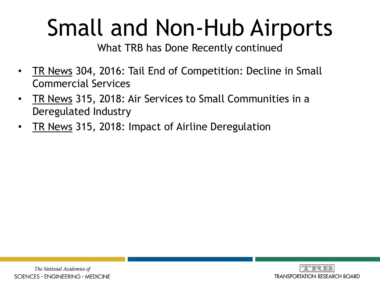## Small and Non-Hub Airports

What TRB has Done Recently continued

- TR News 304, 2016: Tail End of Competition: Decline in Small Commercial Services
- TR News 315, 2018: Air Services to Small Communities in a Deregulated Industry
- **TR News 315, 2018: Impact of Airline Deregulation**